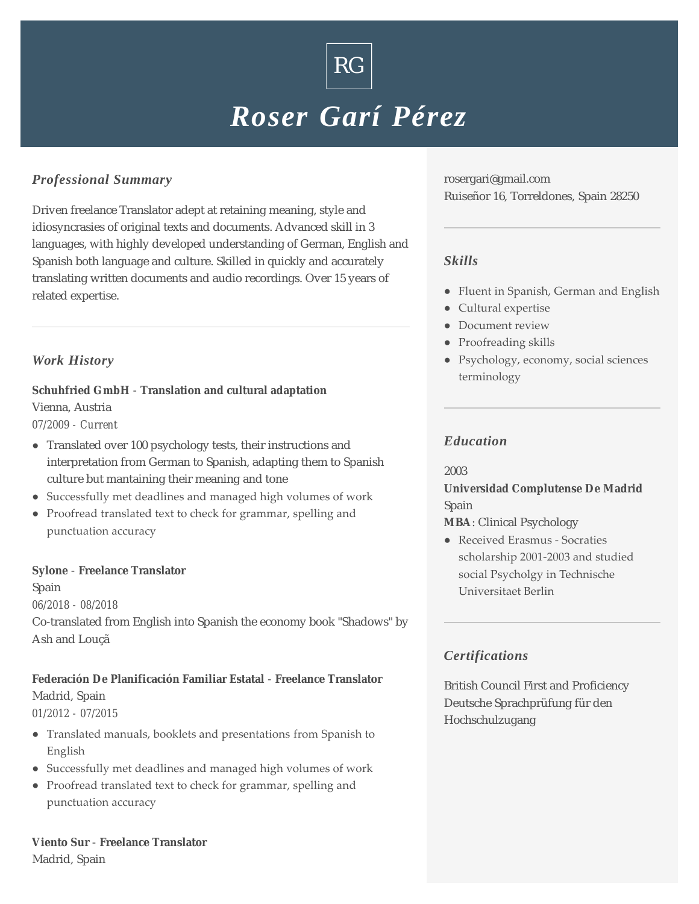# *Roser Garí Pérez*

 $\rm{RG}$   $\vert$ 

# *Professional Summary*

Driven freelance Translator adept at retaining meaning, style and idiosyncrasies of original texts and documents. Advanced skill in 3 languages, with highly developed understanding of German, English and Spanish both language and culture. Skilled in quickly and accurately translating written documents and audio recordings. Over 15 years of related expertise.

# *Work History*

**Schuhfried GmbH** - **Translation and cultural adaptation** Vienna, Austria *07/2009 - Current*

- Translated over 100 psychology tests, their instructions and interpretation from German to Spanish, adapting them to Spanish culture but mantaining their meaning and tone
- Successfully met deadlines and managed high volumes of work
- Proofread translated text to check for grammar, spelling and punctuation accuracy

**Sylone** - **Freelance Translator**

Spain

*06/2018 - 08/2018*

Co-translated from English into Spanish the economy book "Shadows" by Ash and Louçã

**Federación De Planificación Familiar Estatal** - **Freelance Translator** Madrid, Spain *01/2012 - 07/2015*

- Translated manuals, booklets and presentations from Spanish to English
- Successfully met deadlines and managed high volumes of work
- Proofread translated text to check for grammar, spelling and punctuation accuracy

**Viento Sur** - **Freelance Translator** Madrid, Spain

rosergari@gmail.com Ruiseñor 16, Torreldones, Spain 28250

### *Skills*

- Fluent in Spanish, German and English
- Cultural expertise
- Document review
- Proofreading skills
- Psychology, economy, social sciences terminology

### *Education*

2003

**Universidad Complutense De Madrid** Spain

**MBA**: Clinical Psychology

• Received Erasmus - Socraties scholarship 2001-2003 and studied social Psycholgy in Technische Universitaet Berlin

# *Certifications*

British Council First and Proficiency Deutsche Sprachprüfung für den Hochschulzugang